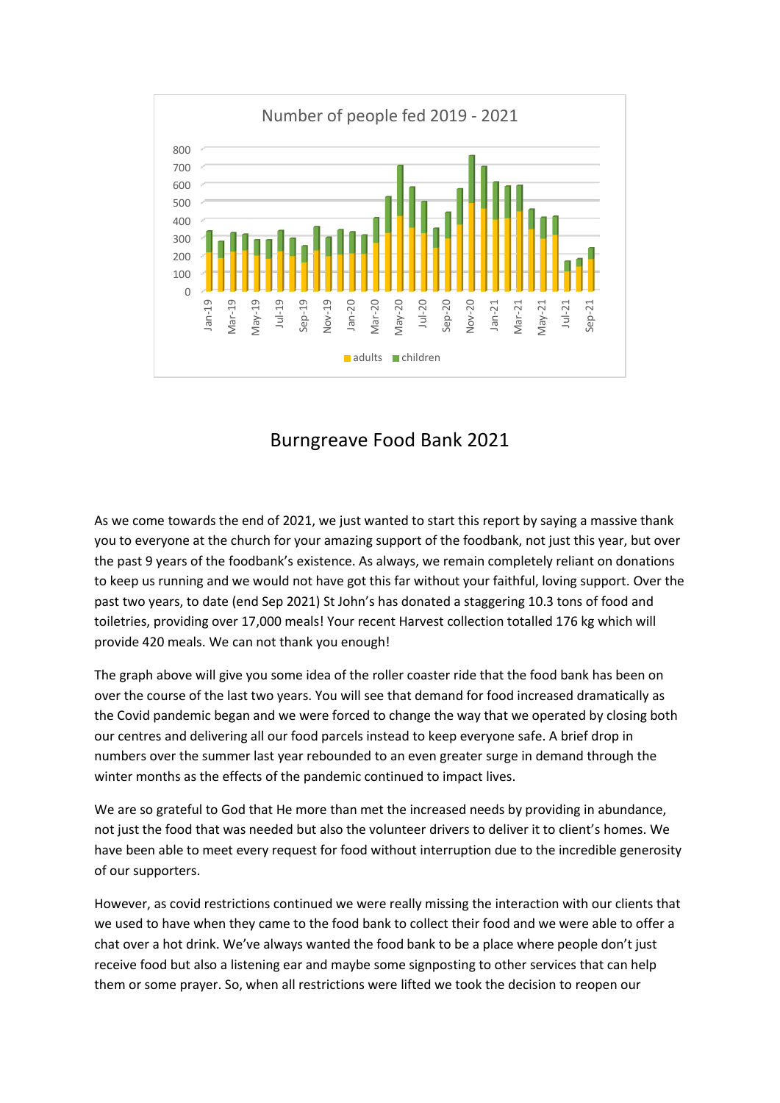

## Burngreave Food Bank 2021

As we come towards the end of 2021, we just wanted to start this report by saying a massive thank you to everyone at the church for your amazing support of the foodbank, not just this year, but over the past 9 years of the foodbank's existence. As always, we remain completely reliant on donations to keep us running and we would not have got this far without your faithful, loving support. Over the past two years, to date (end Sep 2021) St John's has donated a staggering 10.3 tons of food and toiletries, providing over 17,000 meals! Your recent Harvest collection totalled 176 kg which will provide 420 meals. We can not thank you enough!

The graph above will give you some idea of the roller coaster ride that the food bank has been on over the course of the last two years. You will see that demand for food increased dramatically as the Covid pandemic began and we were forced to change the way that we operated by closing both our centres and delivering all our food parcels instead to keep everyone safe. A brief drop in numbers over the summer last year rebounded to an even greater surge in demand through the winter months as the effects of the pandemic continued to impact lives.

We are so grateful to God that He more than met the increased needs by providing in abundance, not just the food that was needed but also the volunteer drivers to deliver it to client's homes. We have been able to meet every request for food without interruption due to the incredible generosity of our supporters.

However, as covid restrictions continued we were really missing the interaction with our clients that we used to have when they came to the food bank to collect their food and we were able to offer a chat over a hot drink. We've always wanted the food bank to be a place where people don't just receive food but also a listening ear and maybe some signposting to other services that can help them or some prayer. So, when all restrictions were lifted we took the decision to reopen our